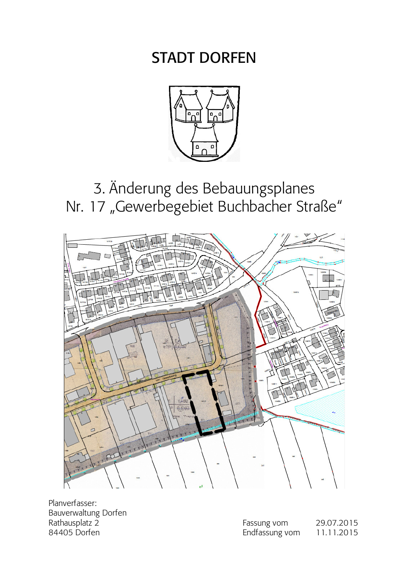# **STADT DORFEN**



# 3. Änderung des Bebauungsplanes Nr. 17 "Gewerbegebiet Buchbacher Straße"



Planverfasser: Bauverwaltung Dorfen Rathausplatz 2 84405 Dorfen

| Fassung vom    | 29.07.2015 |
|----------------|------------|
| Endfassung vom | 11.11.2015 |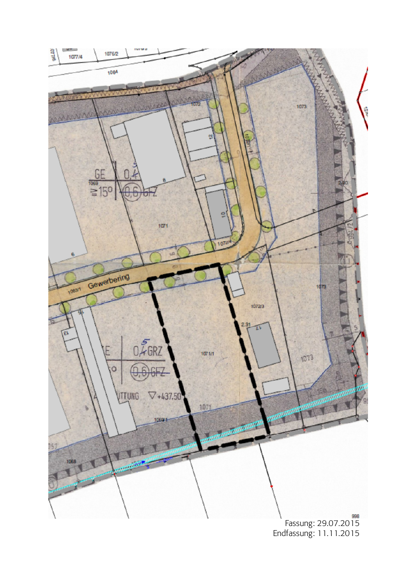

Endfassung: 11.11.2015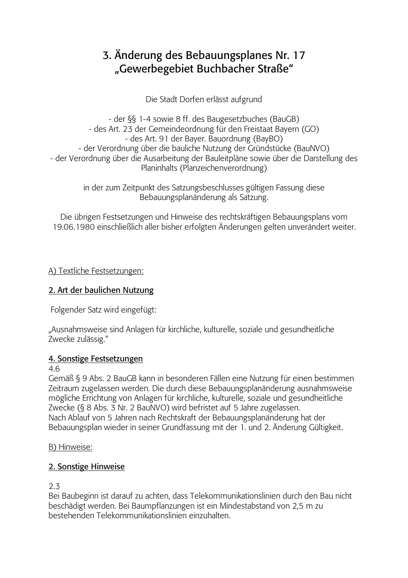# 3. Änderung des Bebauungsplanes Nr. 17 "Gewerbegebiet Buchbacher Straße"

Die Stadt Dorfen erlässt aufgrund

- der §§ 1-4 sowie 8 ff. des Baugesetzbuches (BauGB) - des Art. 23 der Gemeindeordnung für den Freistaat Bayern (GO) - des Art. 91 der Bayer. Bauordnung (BayBO) - der Verordnung über die bauliche Nutzung der Gründstücke (BauNVO) - der Verordnung über die Ausarbeitung der Bauleitpläne sowie über die Darstellung des Planinhalts (Planzeichenverordnung)

> in der zum Zeitpunkt des Satzungsbeschlusses gültigen Fassung diese Bebauungsplanänderung als Satzung.

Die übrigen Festsetzungen und Hinweise des rechtskräftigen Bebauungsplans vom 19.06.1980 einschließlich aller bisher erfolgten Änderungen gelten unverändert weiter.

A) Textliche Festsetzungen:

# 2. Art der baulichen Nutzung

Folgender Satz wird eingefügt:

"Ausnahmsweise sind Anlagen für kirchliche, kulturelle, soziale und gesundheitliche Zwecke zulässig."

#### 4. Sonstige Festsetzungen

4.6

Gemäß § 9 Abs. 2 BauGB kann in besonderen Fällen eine Nutzung für einen bestimmen Zeitraum zugelassen werden. Die durch diese Bebauungsplanänderung ausnahmsweise mögliche Errichtung von Anlagen für kirchliche, kulturelle, soziale und gesundheitliche Zwecke (§ 8 Abs. 3 Nr. 2 BauNVO) wird befristet auf 5 Jahre zugelassen. Nach Ablauf von 5 Jahren nach Rechtskraft der Bebauungsplanänderung hat der Bebauungsplan wieder in seiner Grundfassung mit der 1. und 2. Änderung Gültigkeit.

B) Hinweise:

# 2. Sonstige Hinweise

 $2.3$ 

Bei Baubeginn ist darauf zu achten, dass Telekommunikationslinien durch den Bau nicht beschädigt werden. Bei Baumpflanzungen ist ein Mindestabstand von 2,5 m zu bestehenden Telekommunikationslinien einzuhalten.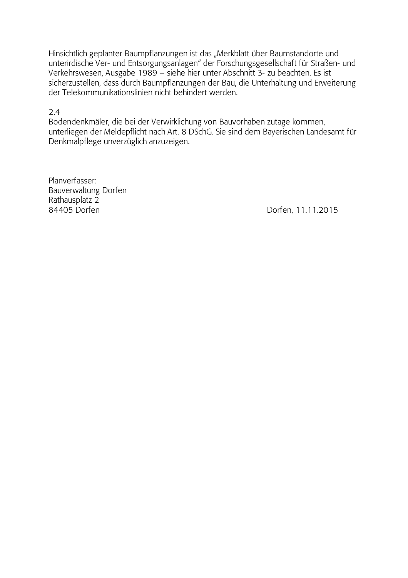Hinsichtlich geplanter Baumpflanzungen ist das "Merkblatt über Baumstandorte und unterirdische Ver- und Entsorgungsanlagen" der Forschungsgesellschaft für Straßen- und Verkehrswesen, Ausgabe 1989 – siehe hier unter Abschnitt 3- zu beachten. Es ist sicherzustellen, dass durch Baumpflanzungen der Bau, die Unterhaltung und Erweiterung der Telekommunikationslinien nicht behindert werden.

 $2.4$ 

Bodendenkmäler, die bei der Verwirklichung von Bauvorhaben zutage kommen, unterliegen der Meldepflicht nach Art. 8 DSchG. Sie sind dem Bayerischen Landesamt für Denkmalpflege unverzüglich anzuzeigen.

Planverfasser: Bauverwaltung Dorfen Rathausplatz 2 84405 Dorfen

Dorfen, 11.11.2015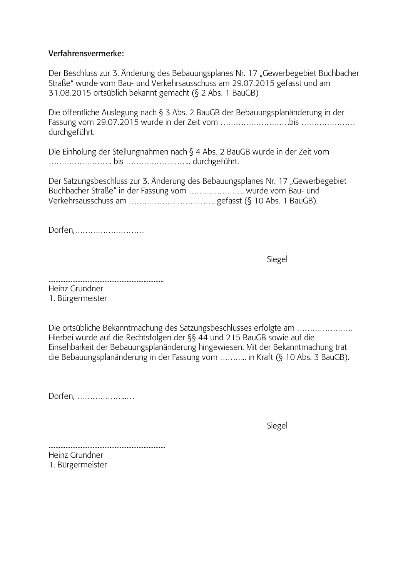#### $\Phi$ *Verfahrensvermerke:*

Der Beschluss zur 3. Änderung des Bebauungsplanes Nr. 17 "Gewerbegebiet Buchbacher Straße" wurde vom Bau- und Verkehrsausschuss am 29.07.2015 gefasst und am 31.08.2015 ortsüblich bekannt gemacht  $(\S$  2 Abs. 1 BauGB)

Die öffentliche Auslegung nach§3 Abs. 2 BauGB der Bebauungsplanänderung in der 3AF !"&'D(D&()A-F-4- !"5555555555555555 durchgeführt.

Die Einholung der Stellungnahmen nach § 4 Abs. 2 BauGB wurde in der Zeit vom 55555555D55555555DDA-\*,D

Der Satzungsbeschluss zur 3. Änderung des Bebauungsplanes Nr. 17 "Gewerbegebiet Buchbacher Straße" in der Fassung vom ......................... wurde vom Bau- und \$-%-AA"55555555555D-\*-.(/DA0D

!\*-F8555555555

 gel

DDDDDDDDDDDDDDDDDDDDDDDDDDDDDDDDDDDDDDDDDDDDDDDDDDDDDDDDDDDDDDDDDDDD

Heinz Grundner 1. Bürgermeister

Die ortsübliche Bekanntmachung des Satzungsbeschlusses erfolgte am …………………… Hierbei wurde auf die Rechtsfolgen der §§ 44 und 215 BauGB sowie auf die Einsehbarkeit der Bebauungsplanänderung hingewiesen. Mit der Bekanntmachung trat die Bebauungsplanänderung in der Fassung vom ………… in Kraft (§ 10 Abs. 3 BauGB).

Dorfen, .......................

 gel

DDDDDDDDDDDDDDDDDDDDDDDDDDDDDDDDDDDDDDDDDDDDDDDDDDDDDDDDDDDDDDDDDDDDD Heinz Grundner 1. Bürgermeister